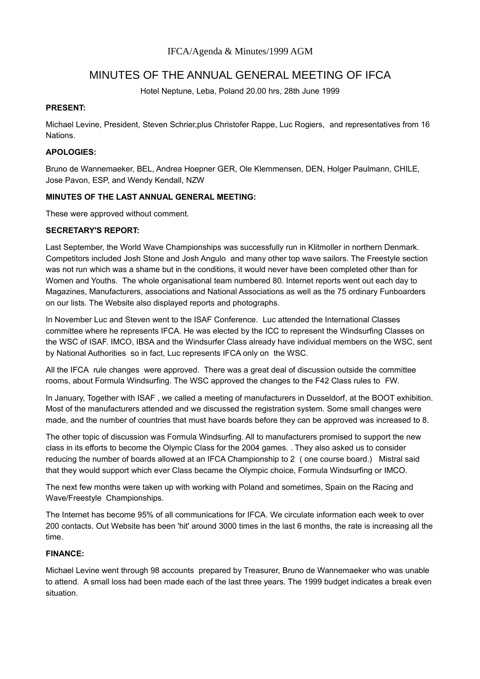# MINUTES OF THE ANNUAL GENERAL MEETING OF IFCA

Hotel Neptune, Leba, Poland 20.00 hrs, 28th June 1999

## **PRESENT:**

Michael Levine, President, Steven Schrier,plus Christofer Rappe, Luc Rogiers, and representatives from 16 Nations.

# **APOLOGIES:**

Bruno de Wannemaeker, BEL, Andrea Hoepner GER, Ole Klemmensen, DEN, Holger Paulmann, CHILE, Jose Pavon, ESP, and Wendy Kendall, NZW

## **MINUTES OF THE LAST ANNUAL GENERAL MEETING:**

These were approved without comment.

## **SECRETARY'S REPORT:**

Last September, the World Wave Championships was successfully run in Klitmoller in northern Denmark. Competitors included Josh Stone and Josh Angulo and many other top wave sailors. The Freestyle section was not run which was a shame but in the conditions, it would never have been completed other than for Women and Youths. The whole organisational team numbered 80. Internet reports went out each day to Magazines, Manufacturers, associations and National Associations as well as the 75 ordinary Funboarders on our lists. The Website also displayed reports and photographs.

In November Luc and Steven went to the ISAF Conference. Luc attended the International Classes committee where he represents IFCA. He was elected by the ICC to represent the Windsurfing Classes on the WSC of ISAF. IMCO, IBSA and the Windsurfer Class already have individual members on the WSC, sent by National Authorities so in fact, Luc represents IFCA only on the WSC.

All the IFCA rule changes were approved. There was a great deal of discussion outside the committee rooms, about Formula Windsurfing. The WSC approved the changes to the F42 Class rules to FW.

In January, Together with ISAF , we called a meeting of manufacturers in Dusseldorf, at the BOOT exhibition. Most of the manufacturers attended and we discussed the registration system. Some small changes were made, and the number of countries that must have boards before they can be approved was increased to 8.

The other topic of discussion was Formula Windsurfing. All to manufacturers promised to support the new class in its efforts to become the Olympic Class for the 2004 games. . They also asked us to consider reducing the number of boards allowed at an IFCA Championship to 2 ( one course board.) Mistral said that they would support which ever Class became the Olympic choice, Formula Windsurfing or IMCO.

The next few months were taken up with working with Poland and sometimes, Spain on the Racing and Wave/Freestyle Championships.

The Internet has become 95% of all communications for IFCA. We circulate information each week to over 200 contacts. Out Website has been 'hit' around 3000 times in the last 6 months, the rate is increasing all the time.

## **FINANCE:**

Michael Levine went through 98 accounts prepared by Treasurer, Bruno de Wannemaeker who was unable to attend. A small loss had been made each of the last three years. The 1999 budget indicates a break even situation.